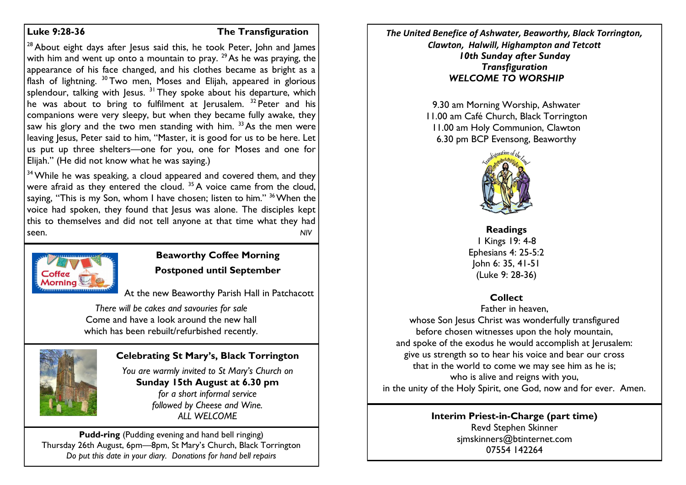#### **Luke 9:28-36 The Transfiguration**

<sup>28</sup> About eight days after Jesus said this, he took Peter, John and James with him and went up onto a mountain to pray.  $29$  As he was praying, the appearance of his face changed, and his clothes became as bright as a flash of lightning. <sup>30</sup> Two men, Moses and Elijah, appeared in glorious splendour, talking with Jesus.  $31$  They spoke about his departure, which he was about to bring to fulfilment at lerusalem.  $32$  Peter and his companions were very sleepy, but when they became fully awake, they saw his glory and the two men standing with him.  $33$  As the men were leaving Jesus, Peter said to him, "Master, it is good for us to be here. Let us put up three shelters—one for you, one for Moses and one for Elijah." (He did not know what he was saying.)

<sup>34</sup> While he was speaking, a cloud appeared and covered them, and they were afraid as they entered the cloud.  $35$  A voice came from the cloud, saying, "This is my Son, whom I have chosen; listen to him."  $36$  When the voice had spoken, they found that Jesus was alone. The disciples kept this to themselves and did not tell anyone at that time what they had seen. *NIV*



## **Beaworthy Coffee Morning Postponed until September**

At the new Beaworthy Parish Hall in Patchacott

*There will be cakes and savouries for sale* Come and have a look around the new hall which has been rebuilt/refurbished recently.



## **Celebrating St Mary's, Black Torrington**

*You are warmly invited to St Mary's Church on* **Sunday 15th August at 6.30 pm** *for a short informal service followed by Cheese and Wine. ALL WELCOME*

**Pudd-ring** (Pudding evening and hand bell ringing) Thursday 26th August, 6pm—8pm, St Mary's Church, Black Torrington *Do put this date in your diary. Donations for hand bell repairs*

*The United Benefice of Ashwater, Beaworthy, Black Torrington, Clawton, Halwill, Highampton and Tetcott 10th Sunday after Sunday Transfiguration WELCOME TO WORSHIP*

> 9.30 am Morning Worship, Ashwater 11.00 am Café Church, Black Torrington 11.00 am Holy Communion, Clawton 6.30 pm BCP Evensong, Beaworthy



**Readings** 1 Kings 19: 4-8 Ephesians 4: 25-5:2 John 6: 35, 41-51 (Luke 9: 28-36)

## **Collect**

Father in heaven, whose Son Jesus Christ was wonderfully transfigured before chosen witnesses upon the holy mountain, and spoke of the exodus he would accomplish at Jerusalem: give us strength so to hear his voice and bear our cross that in the world to come we may see him as he is; who is alive and reigns with you, in the unity of the Holy Spirit, one God, now and for ever. Amen.

#### **Interim Priest-in-Charge (part time)** Revd Stephen Skinner [sjmskinners@btinternet.com](mailto:sjmskinners@btinternet.com) 07554 142264